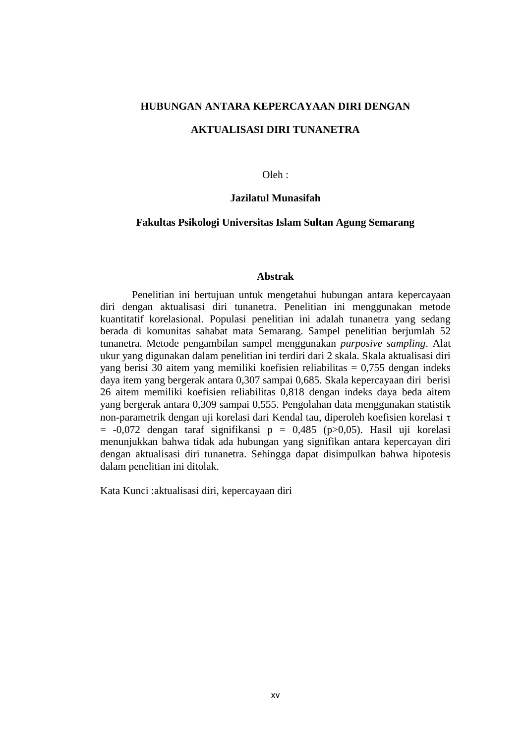# **HUBUNGAN ANTARA KEPERCAYAAN DIRI DENGAN**

## **AKTUALISASI DIRI TUNANETRA**

### $O$ leh $\cdot$

## **Jazilatul Munasifah**

### **Fakultas Psikologi Universitas Islam Sultan Agung Semarang**

### **Abstrak**

Penelitian ini bertujuan untuk mengetahui hubungan antara kepercayaan diri dengan aktualisasi diri tunanetra. Penelitian ini menggunakan metode kuantitatif korelasional. Populasi penelitian ini adalah tunanetra yang sedang berada di komunitas sahabat mata Semarang. Sampel penelitian berjumlah 52 tunanetra. Metode pengambilan sampel menggunakan *purposive sampling*. Alat ukur yang digunakan dalam penelitian ini terdiri dari 2 skala. Skala aktualisasi diri yang berisi 30 aitem yang memiliki koefisien reliabilitas = 0,755 dengan indeks daya item yang bergerak antara 0,307 sampai 0,685. Skala kepercayaan diri berisi 26 aitem memiliki koefisien reliabilitas 0,818 dengan indeks daya beda aitem yang bergerak antara 0,309 sampai 0,555. Pengolahan data menggunakan statistik non-parametrik dengan uji korelasi dari Kendal tau, diperoleh koefisien korelasi  $\tau$  $= -0.072$  dengan taraf signifikansi p = 0,485 (p $> 0.05$ ). Hasil uji korelasi menunjukkan bahwa tidak ada hubungan yang signifikan antara kepercayan diri dengan aktualisasi diri tunanetra. Sehingga dapat disimpulkan bahwa hipotesis dalam penelitian ini ditolak.

Kata Kunci :aktualisasi diri, kepercayaan diri